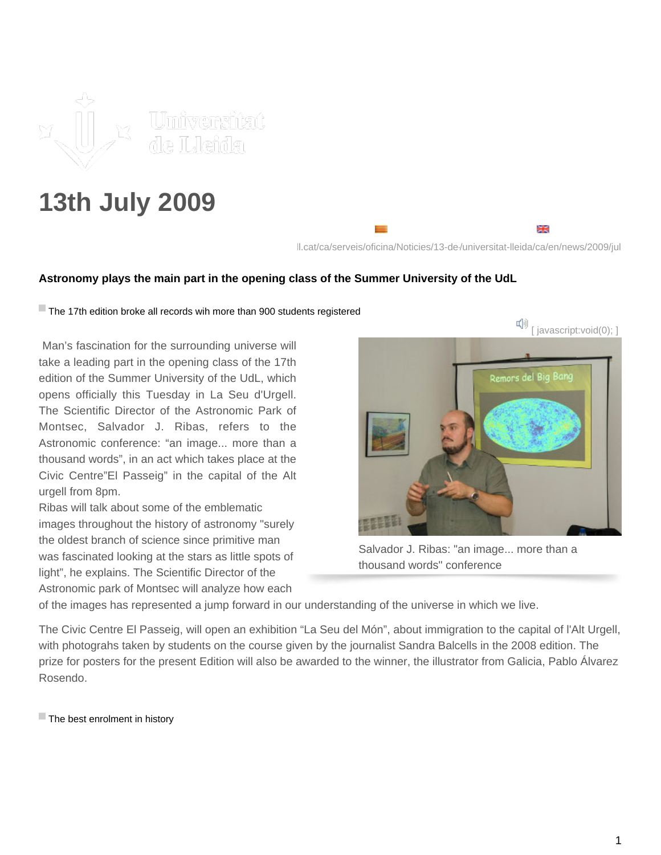

## **13th July 2009**

ll.cat/ca/serveis/oficina/Noticies/13-de-/universitat-lleida/ca/en/news/2009/jul

₩

## **Astronomy plays the main part in the opening class of the Summer University of the UdL**

The 17th edition broke all records wih more than 900 students registered

 Man's fascination for the surrounding universe will take a leading part in the opening class of the 17th edition of the Summer University of the UdL, which opens officially this Tuesday in La Seu d'Urgell. The Scientific Director of the Astronomic Park of Montsec, Salvador J. Ribas, refers to the Astronomic conference: "an image... more than a thousand words", in an act which takes place at the Civic Centre"El Passeig" in the capital of the Alt urgell from 8pm.

Ribas will talk about some of the emblematic images throughout the history of astronomy "surely the oldest branch of science since primitive man was fascinated looking at the stars as little spots of light", he explains. The Scientific Director of the Astronomic park of Montsec will analyze how each



Salvador J. Ribas: "an image... more than a thousand words" conference

of the images has represented a jump forward in our understanding of the universe in which we live.

The Civic Centre El Passeig, will open an exhibition "La Seu del Món", about immigration to the capital of l'Alt Urgell, with photograhs taken by students on the course given by the journalist Sandra Balcells in the 2008 edition. The prize for posters for the present Edition will also be awarded to the winner, the illustrator from Galicia, Pablo Álvarez Rosendo.

 $\blacksquare$  The best enrolment in history